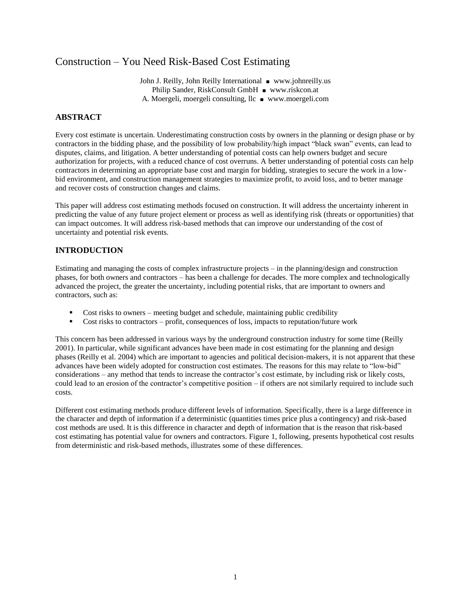## Construction – You Need Risk-Based Cost Estimating

John J. Reilly, John Reilly International ■ [www.johnreilly.us](http://www.johnreilly.us/) Philip Sander, RiskConsult GmbH ■ [www.riskcon.at](http://www.riskcon.at/) A. Moergeli, moergeli consulting, llc ■ [www.moergeli.com](http://www.moergeli.com/)

#### **ABSTRACT**

Every cost estimate is uncertain. Underestimating construction costs by owners in the planning or design phase or by contractors in the bidding phase, and the possibility of low probability/high impact "black swan" events, can lead to disputes, claims, and litigation. A better understanding of potential costs can help owners budget and secure authorization for projects, with a reduced chance of cost overruns. A better understanding of potential costs can help contractors in determining an appropriate base cost and margin for bidding, strategies to secure the work in a lowbid environment, and construction management strategies to maximize profit, to avoid loss, and to better manage and recover costs of construction changes and claims.

This paper will address cost estimating methods focused on construction. It will address the uncertainty inherent in predicting the value of any future project element or process as well as identifying risk (threats or opportunities) that can impact outcomes. It will address risk-based methods that can improve our understanding of the cost of uncertainty and potential risk events.

#### **INTRODUCTION**

Estimating and managing the costs of complex infrastructure projects – in the planning/design and construction phases, for both owners and contractors – has been a challenge for decades. The more complex and technologically advanced the project, the greater the uncertainty, including potential risks, that are important to owners and contractors, such as:

- Cost risks to owners meeting budget and schedule, maintaining public credibility
- Cost risks to contractors profit, consequences of loss, impacts to reputation/future work

This concern has been addressed in various ways by the underground construction industry for some time (Reilly 2001). In particular, while significant advances have been made in cost estimating for the planning and design phases (Reilly et al. 2004) which are important to agencies and political decision-makers, it is not apparent that these advances have been widely adopted for construction cost estimates. The reasons for this may relate to "low-bid" considerations – any method that tends to increase the contractor's cost estimate, by including risk or likely costs, could lead to an erosion of the contractor's competitive position – if others are not similarly required to include such costs.

Different cost estimating methods produce different levels of information. Specifically, there is a large difference in the character and depth of information if a deterministic (quantities times price plus a contingency) and risk-based cost methods are used. It is this difference in character and depth of information that is the reason that risk-based cost estimating has potential value for owners and contractors. Figure 1, following, presents hypothetical cost results from deterministic and risk-based methods, illustrates some of these differences.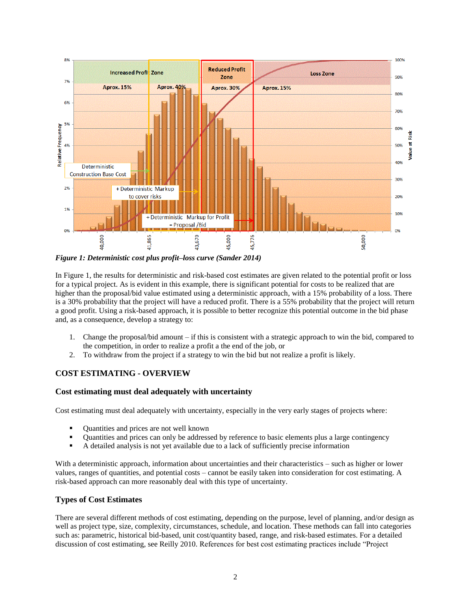

*Figure 1: Deterministic cost plus profit–loss curve (Sander 2014)*

In Figure 1, the results for deterministic and risk-based cost estimates are given related to the potential profit or loss for a typical project. As is evident in this example, there is significant potential for costs to be realized that are higher than the proposal/bid value estimated using a deterministic approach, with a 15% probability of a loss. There is a 30% probability that the project will have a reduced profit. There is a 55% probability that the project will return a good profit. Using a risk-based approach, it is possible to better recognize this potential outcome in the bid phase and, as a consequence, develop a strategy to:

- 1. Change the proposal/bid amount if this is consistent with a strategic approach to win the bid, compared to the competition, in order to realize a profit a the end of the job, or
- 2. To withdraw from the project if a strategy to win the bid but not realize a profit is likely.

## **COST ESTIMATING - OVERVIEW**

## **Cost estimating must deal adequately with uncertainty**

Cost estimating must deal adequately with uncertainty, especially in the very early stages of projects where:

- Quantities and prices are not well known
- Quantities and prices can only be addressed by reference to basic elements plus a large contingency
- A detailed analysis is not yet available due to a lack of sufficiently precise information

With a deterministic approach, information about uncertainties and their characteristics – such as higher or lower values, ranges of quantities, and potential costs – cannot be easily taken into consideration for cost estimating. A risk-based approach can more reasonably deal with this type of uncertainty.

## **Types of Cost Estimates**

There are several different methods of cost estimating, depending on the purpose, level of planning, and/or design as well as project type, size, complexity, circumstances, schedule, and location. These methods can fall into categories such as: parametric, historical bid-based, unit cost/quantity based, range, and risk-based estimates. For a detailed discussion of cost estimating, see Reilly 2010. References for best cost estimating practices include "Project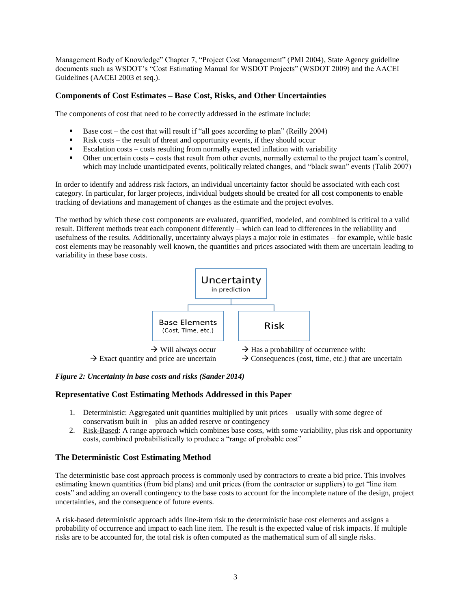Management Body of Knowledge" Chapter 7, "Project Cost Management" (PMI 2004), State Agency guideline documents such as WSDOT's "Cost Estimating Manual for WSDOT Projects" (WSDOT 2009) and the AACEI Guidelines (AACEI 2003 et seq.).

## **Components of Cost Estimates – Base Cost, Risks, and Other Uncertainties**

The components of cost that need to be correctly addressed in the estimate include:

- Base cost the cost that will result if "all goes according to plan" (Reilly 2004)
- Risk costs the result of threat and opportunity events, if they should occur
- Escalation costs costs resulting from normally expected inflation with variability
- Other uncertain costs costs that result from other events, normally external to the project team's control, which may include unanticipated events, politically related changes, and "black swan" events (Talib 2007)

In order to identify and address risk factors, an individual uncertainty factor should be associated with each cost category. In particular, for larger projects, individual budgets should be created for all cost components to enable tracking of deviations and management of changes as the estimate and the project evolves.

The method by which these cost components are evaluated, quantified, modeled, and combined is critical to a valid result. Different methods treat each component differently – which can lead to differences in the reliability and usefulness of the results. Additionally, uncertainty always plays a major role in estimates – for example, while basic cost elements may be reasonably well known, the quantities and prices associated with them are uncertain leading to variability in these base costs.



#### *Figure 2: Uncertainty in base costs and risks (Sander 2014)*

#### **Representative Cost Estimating Methods Addressed in this Paper**

- 1. Deterministic: Aggregated unit quantities multiplied by unit prices usually with some degree of conservatism built in  $-$  plus an added reserve or contingency
- 2. Risk-Based: A range approach which combines base costs, with some variability, plus risk and opportunity costs, combined probabilistically to produce a "range of probable cost"

## **The Deterministic Cost Estimating Method**

The deterministic base cost approach process is commonly used by contractors to create a bid price. This involves estimating known quantities (from bid plans) and unit prices (from the contractor or suppliers) to get "line item costs" and adding an overall contingency to the base costs to account for the incomplete nature of the design, project uncertainties, and the consequence of future events.

A risk-based deterministic approach adds line-item risk to the deterministic base cost elements and assigns a probability of occurrence and impact to each line item. The result is the expected value of risk impacts. If multiple risks are to be accounted for, the total risk is often computed as the mathematical sum of all single risks.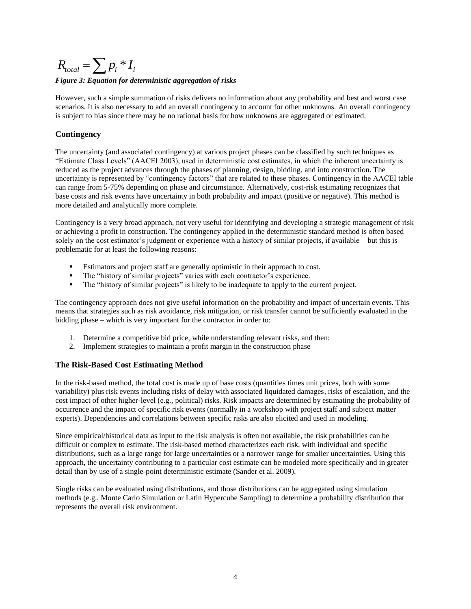# $R_{total} = \sum p_i * I_i$ *Figure 3: Equation for deterministic aggregation of risks*

However, such a simple summation of risks delivers no information about any probability and best and worst case scenarios. It is also necessary to add an overall contingency to account for other unknowns. An overall contingency is subject to bias since there may be no rational basis for how unknowns are aggregated or estimated.

## **Contingency**

The uncertainty (and associated contingency) at various project phases can be classified by such techniques as "Estimate Class Levels" (AACEI 2003), used in deterministic cost estimates, in which the inherent uncertainty is reduced as the project advances through the phases of planning, design, bidding, and into construction. The uncertainty is represented by "contingency factors" that are related to these phases. Contingency in the AACEI table can range from 5-75% depending on phase and circumstance. Alternatively, cost-risk estimating recognizes that base costs and risk events have uncertainty in both probability and impact (positive or negative). This method is more detailed and analytically more complete.

Contingency is a very broad approach, not very useful for identifying and developing a strategic management of risk or achieving a profit in construction. The contingency applied in the deterministic standard method is often based solely on the cost estimator's judgment or experience with a history of similar projects, if available – but this is problematic for at least the following reasons:

- Estimators and project staff are generally optimistic in their approach to cost.
- The "history of similar projects" varies with each contractor's experience.
- The "history of similar projects" is likely to be inadequate to apply to the current project.

The contingency approach does not give useful information on the probability and impact of uncertain events. This means that strategies such as risk avoidance, risk mitigation, or risk transfer cannot be sufficiently evaluated in the bidding phase – which is very important for the contractor in order to:

- 1. Determine a competitive bid price, while understanding relevant risks, and then:
- 2. Implement strategies to maintain a profit margin in the construction phase

## **The Risk-Based Cost Estimating Method**

In the risk-based method, the total cost is made up of base costs (quantities times unit prices, both with some variability) plus risk events including risks of delay with associated liquidated damages, risks of escalation, and the cost impact of other higher-level (e.g., political) risks. Risk impacts are determined by estimating the probability of occurrence and the impact of specific risk events (normally in a workshop with project staff and subject matter experts). Dependencies and correlations between specific risks are also elicited and used in modeling.

Since empirical/historical data as input to the risk analysis is often not available, the risk probabilities can be difficult or complex to estimate. The risk-based method characterizes each risk, with individual and specific distributions, such as a large range for large uncertainties or a narrower range for smaller uncertainties. Using this approach, the uncertainty contributing to a particular cost estimate can be modeled more specifically and in greater detail than by use of a single-point deterministic estimate (Sander et al. 2009).

Single risks can be evaluated using distributions, and those distributions can be aggregated using simulation methods (e.g., Monte Carlo Simulation or Latin Hypercube Sampling) to determine a probability distribution that represents the overall risk environment.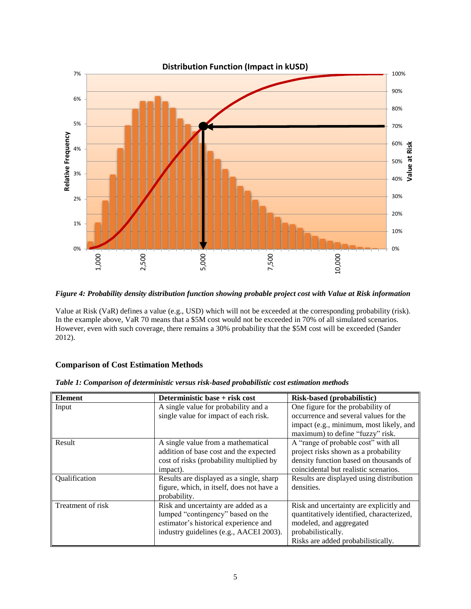

<span id="page-4-0"></span>*Figure 4: Probability density distribution function showing probable project cost with Value at Risk information*

Value at Risk (VaR) defines a value (e.g., USD) which will not be exceeded at the corresponding probability (risk). In the example above, VaR 70 means that a \$5M cost would not be exceeded in 70% of all simulated scenarios. However, even with such coverage, there remains a 30% probability that the \$5M cost will be exceeded (Sander 2012).

## **Comparison of Cost Estimation Methods**

| <b>Element</b>    | Deterministic base + risk cost                                                                                                                               | Risk-based (probabilistic)                                                                                                                                                  |
|-------------------|--------------------------------------------------------------------------------------------------------------------------------------------------------------|-----------------------------------------------------------------------------------------------------------------------------------------------------------------------------|
| Input             | A single value for probability and a<br>single value for impact of each risk.                                                                                | One figure for the probability of<br>occurrence and several values for the<br>impact (e.g., minimum, most likely, and<br>maximum) to define "fuzzy" risk.                   |
| Result            | A single value from a mathematical<br>addition of base cost and the expected<br>cost of risks (probability multiplied by<br>impact).                         | A "range of probable cost" with all<br>project risks shown as a probability<br>density function based on thousands of<br>coincidental but realistic scenarios.              |
| Qualification     | Results are displayed as a single, sharp<br>figure, which, in itself, does not have a<br>probability.                                                        | Results are displayed using distribution<br>densities.                                                                                                                      |
| Treatment of risk | Risk and uncertainty are added as a<br>lumped "contingency" based on the<br>estimator's historical experience and<br>industry guidelines (e.g., AACEI 2003). | Risk and uncertainty are explicitly and<br>quantitatively identified, characterized,<br>modeled, and aggregated<br>probabilistically.<br>Risks are added probabilistically. |

*Table 1: Comparison of deterministic versus risk-based probabilistic cost estimation methods*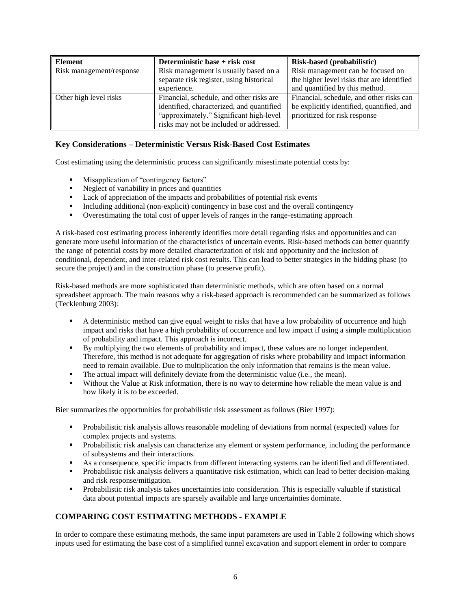| Element                  | Deterministic base + risk cost            | Risk-based (probabilistic)                 |
|--------------------------|-------------------------------------------|--------------------------------------------|
| Risk management/response | Risk management is usually based on a     | Risk management can be focused on          |
|                          | separate risk register, using historical  | the higher level risks that are identified |
|                          | experience.                               | and quantified by this method.             |
| Other high level risks   | Financial, schedule, and other risks are  | Financial, schedule, and other risks can   |
|                          | identified, characterized, and quantified | be explicitly identified, quantified, and  |
|                          | "approximately." Significant high-level   | prioritized for risk response              |
|                          | risks may not be included or addressed.   |                                            |

## **Key Considerations – Deterministic Versus Risk-Based Cost Estimates**

Cost estimating using the deterministic process can significantly misestimate potential costs by:

- **Misapplication of "contingency factors"**
- Neglect of variability in prices and quantities
- Lack of appreciation of the impacts and probabilities of potential risk events
- Including additional (non-explicit) contingency in base cost and the overall contingency
- Overestimating the total cost of upper levels of ranges in the range-estimating approach

A risk-based cost estimating process inherently identifies more detail regarding risks and opportunities and can generate more useful information of the characteristics of uncertain events. Risk-based methods can better quantify the range of potential costs by more detailed characterization of risk and opportunity and the inclusion of conditional, dependent, and inter-related risk cost results. This can lead to better strategies in the bidding phase (to secure the project) and in the construction phase (to preserve profit).

Risk-based methods are more sophisticated than deterministic methods, which are often based on a normal spreadsheet approach. The main reasons why a risk-based approach is recommended can be summarized as follows (Tecklenburg 2003):

- A deterministic method can give equal weight to risks that have a low probability of occurrence and high impact and risks that have a high probability of occurrence and low impact if using a simple multiplication of probability and impact. This approach is incorrect.
- By multiplying the two elements of probability and impact, these values are no longer independent. Therefore, this method is not adequate for aggregation of risks where probability and impact information need to remain available. Due to multiplication the only information that remains is the mean value.
- The actual impact will definitely deviate from the deterministic value (i.e., the mean).
- Without the Value at Risk information, there is no way to determine how reliable the mean value is and how likely it is to be exceeded.

Bier summarizes the opportunities for probabilistic risk assessment as follows (Bier 1997):

- **Probabilistic risk analysis allows reasonable modeling of deviations from normal (expected) values for** complex projects and systems.
- Probabilistic risk analysis can characterize any element or system performance, including the performance of subsystems and their interactions.
- As a consequence, specific impacts from different interacting systems can be identified and differentiated.
- Probabilistic risk analysis delivers a quantitative risk estimation, which can lead to better decision-making and risk response/mitigation.
- Probabilistic risk analysis takes uncertainties into consideration. This is especially valuable if statistical data about potential impacts are sparsely available and large uncertainties dominate.

## **COMPARING COST ESTIMATING METHODS - EXAMPLE**

In order to compare these estimating methods, the same input parameters are used in Table 2 following which shows inputs used for estimating the base cost of a simplified tunnel excavation and support element in order to compare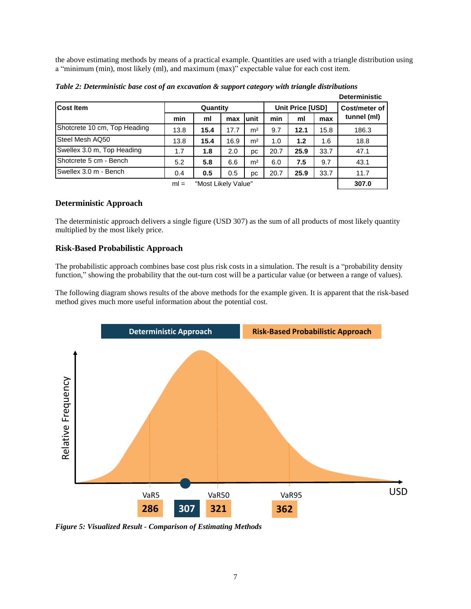the above estimating methods by means of a practical example. Quantities are used with a triangle distribution using a "minimum (min), most likely (ml), and maximum (max)" expectable value for each cost item.

**Deterministic**

|                               |          |      |      |                  |       |      |               | Deterministic |
|-------------------------------|----------|------|------|------------------|-------|------|---------------|---------------|
| <b>Cost Item</b>              | Quantity |      |      | Unit Price [USD] |       |      | Cost/meter of |               |
|                               | min      | ml   | max  | unit             | min   | ml   | max           | tunnel (ml)   |
| Shotcrete 10 cm, Top Heading  | 13.8     | 15.4 | 17.7 | m <sup>2</sup>   | 9.7   | 12.1 | 15.8          | 186.3         |
| Steel Mesh AQ50               | 13.8     | 15.4 | 16.9 | m <sup>2</sup>   | 1.0   | 1.2  | 1.6           | 18.8          |
| Swellex 3.0 m, Top Heading    | 1.7      | 1.8  | 2.0  | pc               | 20.7  | 25.9 | 33.7          | 47.1          |
| Shotcrete 5 cm - Bench        | 5.2      | 5.8  | 6.6  | m <sup>2</sup>   | 6.0   | 7.5  | 9.7           | 43.1          |
| Swellex 3.0 m - Bench         | 0.4      | 0.5  | 0.5  | рc               | 20.7  | 25.9 | 33.7          | 11.7          |
| "Most Likely Value"<br>$ml =$ |          |      |      |                  | 307.0 |      |               |               |

*Table 2: Deterministic base cost of an excavation & support category with triangle distributions*

## **Deterministic Approach**

The deterministic approach delivers a single figure (USD 307) as the sum of all products of most likely quantity multiplied by the most likely price.

#### **Risk-Based Probabilistic Approach**

The probabilistic approach combines base cost plus risk costs in a simulation. The result is a "probability density function," showing the probability that the out-turn cost will be a particular value (or between a range of values).

The following diagram shows results of the above methods for the example given. It is apparent that the risk-based method gives much more useful information about the potential cost.



*Figure 5: Visualized Result - Comparison of Estimating Methods*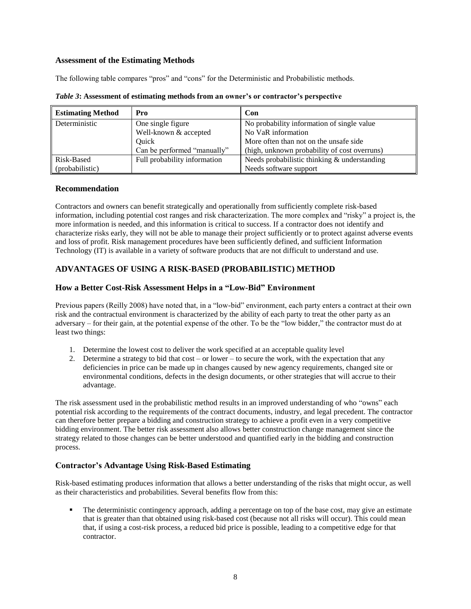#### **Assessment of the Estimating Methods**

The following table compares "pros" and "cons" for the Deterministic and Probabilistic methods.

| <b>Estimating Method</b> | Pro                          | Con                                          |
|--------------------------|------------------------------|----------------------------------------------|
| Deterministic            | One single figure            | No probability information of single value   |
|                          | Well-known & accepted        | No VaR information                           |
|                          | Ouick                        | More often than not on the unsafe side.      |
|                          | Can be performed "manually"  | (high, unknown probability of cost overruns) |
| Risk-Based               | Full probability information | Needs probabilistic thinking & understanding |
| (probabilistic)          |                              | Needs software support                       |

*Table 3***: Assessment of estimating methods from an owner's or contractor's perspective**

#### **Recommendation**

Contractors and owners can benefit strategically and operationally from sufficiently complete risk-based information, including potential cost ranges and risk characterization. The more complex and "risky" a project is, the more information is needed, and this information is critical to success. If a contractor does not identify and characterize risks early, they will not be able to manage their project sufficiently or to protect against adverse events and loss of profit. Risk management procedures have been sufficiently defined, and sufficient Information Technology (IT) is available in a variety of software products that are not difficult to understand and use.

## **ADVANTAGES OF USING A RISK-BASED (PROBABILISTIC) METHOD**

#### **How a Better Cost-Risk Assessment Helps in a "Low-Bid" Environment**

Previous papers (Reilly 2008) have noted that, in a "low-bid" environment, each party enters a contract at their own risk and the contractual environment is characterized by the ability of each party to treat the other party as an adversary – for their gain, at the potential expense of the other. To be the "low bidder," the contractor must do at least two things:

- 1. Determine the lowest cost to deliver the work specified at an acceptable quality level
- 2. Determine a strategy to bid that cost or lower to secure the work, with the expectation that any deficiencies in price can be made up in changes caused by new agency requirements, changed site or environmental conditions, defects in the design documents, or other strategies that will accrue to their advantage.

The risk assessment used in the probabilistic method results in an improved understanding of who "owns" each potential risk according to the requirements of the contract documents, industry, and legal precedent. The contractor can therefore better prepare a bidding and construction strategy to achieve a profit even in a very competitive bidding environment. The better risk assessment also allows better construction change management since the strategy related to those changes can be better understood and quantified early in the bidding and construction process.

## **Contractor's Advantage Using Risk-Based Estimating**

Risk-based estimating produces information that allows a better understanding of the risks that might occur, as well as their characteristics and probabilities. Several benefits flow from this:

 The deterministic contingency approach, adding a percentage on top of the base cost, may give an estimate that is greater than that obtained using risk-based cost (because not all risks will occur). This could mean that, if using a cost-risk process, a reduced bid price is possible, leading to a competitive edge for that contractor.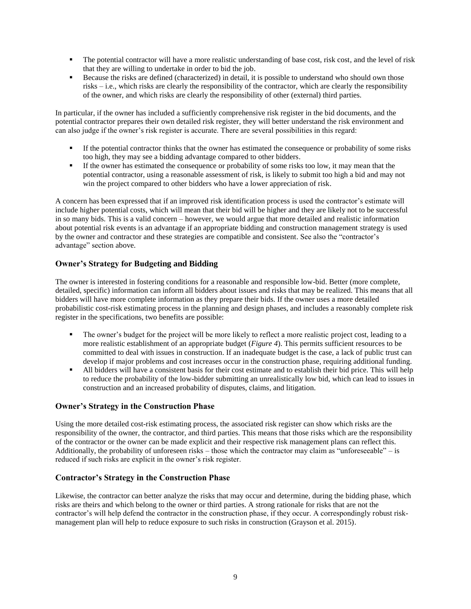- The potential contractor will have a more realistic understanding of base cost, risk cost, and the level of risk that they are willing to undertake in order to bid the job.
- Because the risks are defined (characterized) in detail, it is possible to understand who should own those risks – i.e., which risks are clearly the responsibility of the contractor, which are clearly the responsibility of the owner, and which risks are clearly the responsibility of other (external) third parties.

In particular, if the owner has included a sufficiently comprehensive risk register in the bid documents, and the potential contractor prepares their own detailed risk register, they will better understand the risk environment and can also judge if the owner's risk register is accurate. There are several possibilities in this regard:

- If the potential contractor thinks that the owner has estimated the consequence or probability of some risks too high, they may see a bidding advantage compared to other bidders.
- If the owner has estimated the consequence or probability of some risks too low, it may mean that the potential contractor, using a reasonable assessment of risk, is likely to submit too high a bid and may not win the project compared to other bidders who have a lower appreciation of risk.

A concern has been expressed that if an improved risk identification process is used the contractor's estimate will include higher potential costs, which will mean that their bid will be higher and they are likely not to be successful in so many bids. This is a valid concern – however, we would argue that more detailed and realistic information about potential risk events is an advantage if an appropriate bidding and construction management strategy is used by the owner and contractor and these strategies are compatible and consistent. See also the "contractor's advantage" section above.

## **Owner's Strategy for Budgeting and Bidding**

The owner is interested in fostering conditions for a reasonable and responsible low-bid. Better (more complete, detailed, specific) information can inform all bidders about issues and risks that may be realized. This means that all bidders will have more complete information as they prepare their bids. If the owner uses a more detailed probabilistic cost-risk estimating process in the planning and design phases, and includes a reasonably complete risk register in the specifications, two benefits are possible:

- The owner's budget for the project will be more likely to reflect a more realistic project cost, leading to a more realistic establishment of an appropriate budget (*[Figure 4](#page-4-0)*). This permits sufficient resources to be committed to deal with issues in construction. If an inadequate budget is the case, a lack of public trust can develop if major problems and cost increases occur in the construction phase, requiring additional funding.
- All bidders will have a consistent basis for their cost estimate and to establish their bid price. This will help to reduce the probability of the low-bidder submitting an unrealistically low bid, which can lead to issues in construction and an increased probability of disputes, claims, and litigation.

## **Owner's Strategy in the Construction Phase**

Using the more detailed cost-risk estimating process, the associated risk register can show which risks are the responsibility of the owner, the contractor, and third parties. This means that those risks which are the responsibility of the contractor or the owner can be made explicit and their respective risk management plans can reflect this. Additionally, the probability of unforeseen risks – those which the contractor may claim as "unforeseeable" – is reduced if such risks are explicit in the owner's risk register.

## **Contractor's Strategy in the Construction Phase**

Likewise, the contractor can better analyze the risks that may occur and determine, during the bidding phase, which risks are theirs and which belong to the owner or third parties. A strong rationale for risks that are not the contractor's will help defend the contractor in the construction phase, if they occur. A correspondingly robust riskmanagement plan will help to reduce exposure to such risks in construction (Grayson et al. 2015).